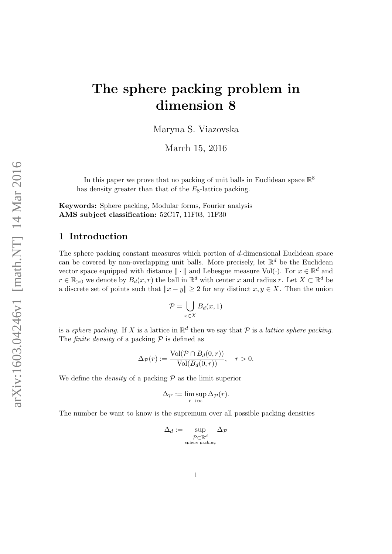# The sphere packing problem in dimension 8

Maryna S. Viazovska

March 15, 2016

In this paper we prove that no packing of unit balls in Euclidean space  $\mathbb{R}^8$ has density greater than that of the  $E_8$ -lattice packing.

Keywords: Sphere packing, Modular forms, Fourier analysis AMS subject classification: 52C17, 11F03, 11F30

# 1 Introduction

The sphere packing constant measures which portion of d-dimensional Euclidean space can be covered by non-overlapping unit balls. More precisely, let  $\mathbb{R}^d$  be the Euclidean vector space equipped with distance  $\|\cdot\|$  and Lebesgue measure Vol( $\cdot$ ). For  $x \in \mathbb{R}^d$  and  $r \in \mathbb{R}_{>0}$  we denote by  $B_d(x,r)$  the ball in  $\mathbb{R}^d$  with center x and radius r. Let  $X \subset \mathbb{R}^d$  be a discrete set of points such that  $||x - y|| \geq 2$  for any distinct  $x, y \in X$ . Then the union

$$
\mathcal{P} = \bigcup_{x \in X} B_d(x, 1)
$$

is a sphere packing. If X is a lattice in  $\mathbb{R}^d$  then we say that P is a lattice sphere packing. The *finite density* of a packing  $P$  is defined as

$$
\Delta_{\mathcal{P}}(r) := \frac{\text{Vol}(\mathcal{P} \cap B_d(0,r))}{\text{Vol}(B_d(0,r))}, \quad r > 0.
$$

We define the *density* of a packing  $P$  as the limit superior

$$
\Delta_{\mathcal{P}} := \limsup_{r \to \infty} \Delta_{\mathcal{P}}(r).
$$

The number be want to know is the supremum over all possible packing densities

$$
\Delta_d:=\sup_{\substack{\mathcal{P}\subset\mathbb{R}^d\\\text{sphere packing}}}\Delta_{\mathcal{P}}
$$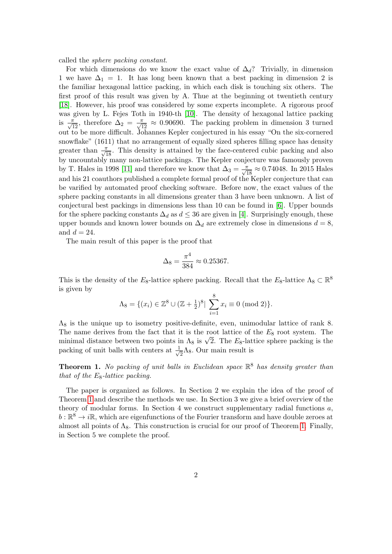called the sphere packing constant.

For which dimensions do we know the exact value of  $\Delta_d$ ? Trivially, in dimension 1 we have  $\Delta_1 = 1$ . It has long been known that a best packing in dimension 2 is the familiar hexagonal lattice packing, in which each disk is touching six others. The first proof of this result was given by A. Thue at the beginning ot twentieth century [\[18\]](#page-21-0). However, his proof was considered by some experts incomplete. A rigorous proof was given by L. Fejes Toth in 1940-th [\[10\]](#page-21-1). The density of hexagonal lattice packing is  $\frac{\pi}{\sqrt{12}}$ , therefore  $\Delta_2 = \frac{\pi}{\sqrt{12}} \approx 0.90690$ . The packing problem in dimension 3 turned out to be more difficult. Johannes Kepler conjectured in his essay "On the six-cornered snowflake" (1611) that no arrangement of equally sized spheres filling space has density greater than  $\frac{\pi}{\sqrt{18}}$ . This density is attained by the face-centered cubic packing and also by uncountably many non-lattice packings. The Kepler conjecture was famously proven by T. Hales in 1998 [\[11\]](#page-21-2) and therefore we know that  $\Delta_3 = \frac{\pi}{\sqrt{18}} \approx 0.74048$ . In 2015 Hales and his 21 coauthors published a complete formal proof of the Kepler conjecture that can be varified by automated proof checking software. Before now, the exact values of the sphere packing constants in all dimensions greater than 3 have been unknown. A list of conjectural best packings in dimensions less than 10 can be found in [\[6\]](#page-21-3). Upper bounds for the sphere packing constants  $\Delta_d$  as  $d \leq 36$  are given in [\[4\]](#page-21-4). Surprisingly enough, these upper bounds and known lower bounds on  $\Delta_d$  are extremely close in dimensions  $d = 8$ , and  $d = 24$ .

The main result of this paper is the proof that

$$
\Delta_8 = \frac{\pi^4}{384} \approx 0.25367.
$$

This is the density of the  $E_8$ -lattice sphere packing. Recall that the  $E_8$ -lattice  $\Lambda_8 \subset \mathbb{R}^8$ is given by

$$
\Lambda_8 = \{(x_i) \in \mathbb{Z}^8 \cup (\mathbb{Z} + \frac{1}{2})^8 \mid \sum_{i=1}^8 x_i \equiv 0 \pmod{2}\}.
$$

 $\Lambda_8$  is the unique up to isometry positive-definite, even, unimodular lattice of rank 8. The name derives from the fact that it is the root lattice of the  $E_8$  root system. The The name derives from the fact that it is the root lattice of the  $E_8$  root system. The minimal distance between two points in  $\Lambda_8$  is  $\sqrt{2}$ . The  $E_8$ -lattice sphere packing is the packing of unit balls with centers at  $\frac{1}{\sqrt{2}}$  $\frac{1}{2}\Lambda_8$ . Our main result is

<span id="page-1-0"></span>**Theorem 1.** No packing of unit balls in Euclidean space  $\mathbb{R}^8$  has density greater than that of the  $E_8$ -lattice packing.

The paper is organized as follows. In Section 2 we explain the idea of the proof of Theorem [1](#page-1-0) and describe the methods we use. In Section 3 we give a brief overview of the theory of modular forms. In Section 4 we construct supplementary radial functions  $a$ ,  $b: \mathbb{R}^8 \to i\mathbb{R}$ , which are eigenfunctions of the Fourier transform and have double zeroes at almost all points of  $\Lambda_8$ . This construction is crucial for our proof of Theorem [1.](#page-1-0) Finally, in Section 5 we complete the proof.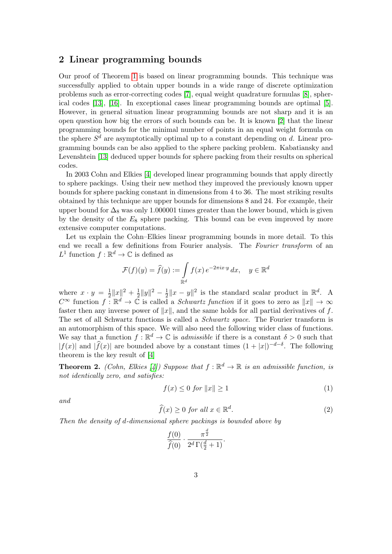# 2 Linear programming bounds

Our proof of Theorem [1](#page-1-0) is based on linear programming bounds. This technique was successfully applied to obtain upper bounds in a wide range of discrete optimization problems such as error-correcting codes [\[7\]](#page-21-5), equal weight quadrature formulas [\[8\]](#page-21-6), spherical codes [\[13\]](#page-21-7), [\[16\]](#page-21-8). In exceptional cases linear programming bounds are optimal [\[5\]](#page-21-9). However, in general situation linear programming bounds are not sharp and it is an open question how big the errors of such bounds can be. It is known [\[2\]](#page-20-0) that the linear programming bounds for the minimal number of points in an equal weight formula on the sphere  $S<sup>d</sup>$  are asymptotically optimal up to a constant depending on d. Linear programming bounds can be also applied to the sphere packing problem. Kabatiansky and Levenshtein [\[13\]](#page-21-7) deduced upper bounds for sphere packing from their results on spherical codes.

In 2003 Cohn and Elkies [\[4\]](#page-21-4) developed linear programming bounds that apply directly to sphere packings. Using their new method they improved the previously known upper bounds for sphere packing constant in dimensions from 4 to 36. The most striking results obtained by this technique are upper bounds for dimensions 8 and 24. For example, their upper bound for  $\Delta_8$  was only 1.000001 times greater than the lower bound, which is given by the density of the  $E_8$  sphere packing. This bound can be even improved by more extensive computer computations.

Let us explain the Cohn–Elkies linear programming bounds in more detail. To this end we recall a few definitions from Fourier analysis. The Fourier transform of an  $L^1$  function  $f : \mathbb{R}^d \to \mathbb{C}$  is defined as

$$
\mathcal{F}(f)(y) = \widehat{f}(y) := \int_{\mathbb{R}^d} f(x) e^{-2\pi i x \cdot y} dx, \quad y \in \mathbb{R}^d
$$

where  $x \cdot y = \frac{1}{2}$  $\frac{1}{2}||x||^2 + \frac{1}{2}$  $\frac{1}{2}||y||^2 - \frac{1}{2}$  $\frac{1}{2}||x - y||^2$  is the standard scalar product in  $\mathbb{R}^d$ . A  $C^{\infty}$  function  $f: \mathbb{R}^d \to \tilde{\mathbb{C}}$  is called a *Schwartz function* if it goes to zero as  $||x|| \to \infty$ faster then any inverse power of  $||x||$ , and the same holds for all partial derivatives of f. The set of all Schwartz functions is called a Schwartz space. The Fourier transform is an automorphism of this space. We will also need the following wider class of functions. We say that a function  $f : \mathbb{R}^d \to \mathbb{C}$  is *admissible* if there is a constant  $\delta > 0$  such that  $|f(x)|$  and  $|\widehat{f}(x)|$  are bounded above by a constant times  $(1 + |x|)^{-d-\delta}$ . The following theorem is the key result of [\[4\]](#page-21-4)

<span id="page-2-0"></span>**Theorem 2.** (Cohn, Elkies [\[4\]](#page-21-4)) Suppose that  $f : \mathbb{R}^d \to \mathbb{R}$  is an admissible function, is not identically zero, and satisfies:

<span id="page-2-1"></span>
$$
f(x) \le 0 \text{ for } ||x|| \ge 1 \tag{1}
$$

and

<span id="page-2-2"></span>
$$
\widehat{f}(x) \ge 0 \text{ for all } x \in \mathbb{R}^d. \tag{2}
$$

.

Then the density of d-dimensional sphere packings is bounded above by

$$
\frac{f(0)}{\widehat{f}(0)} \cdot \frac{\pi^{\frac{d}{2}}}{2^d \Gamma(\frac{d}{2}+1)}
$$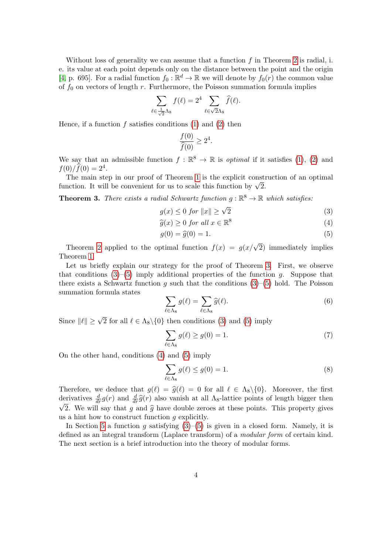Without loss of generality we can assume that a function  $f$  in Theorem [2](#page-2-0) is radial, i. e. its value at each point depends only on the distance between the point and the origin [\[4,](#page-21-4) p. 695]. For a radial function  $f_0 : \mathbb{R}^d \to \mathbb{R}$  we will denote by  $f_0(r)$  the common value of  $f_0$  on vectors of length r. Furthermore, the Poisson summation formula implies

$$
\sum_{\ell \in \frac{1}{\sqrt{2}}\Lambda_8} f(\ell) = 2^4 \sum_{\ell \in \sqrt{2}\Lambda_8} \widehat{f}(\ell).
$$

Hence, if a function  $f$  satisfies conditions  $(1)$  and  $(2)$  then

<span id="page-3-1"></span>
$$
\frac{f(0)}{\widehat{f}(0)} \ge 2^4.
$$

We say that an admissible function  $f : \mathbb{R}^8 \to \mathbb{R}$  is *optimal* if it satisfies [\(1\)](#page-2-1), [\(2\)](#page-2-2) and  $f(0)/\widehat{f}(0) = 2^4.$ 

The main step in our proof of Theorem [1](#page-1-0) is the explicit construction of an optimal The main step in our proof of Theorem 1 is the explicit constitution. It will be convenient for us to scale this function by  $\sqrt{2}$ .

<span id="page-3-0"></span>**Theorem 3.** There exists a radial Schwartz function  $g : \mathbb{R}^8 \to \mathbb{R}$  which satisfies:

$$
g(x) \le 0 \text{ for } ||x|| \ge \sqrt{2}
$$
 (3)

$$
\widehat{g}(x) \ge 0 \text{ for all } x \in \mathbb{R}^8
$$
\n<sup>(4)</sup>

<span id="page-3-3"></span><span id="page-3-2"></span>
$$
g(0) = \hat{g}(0) = 1.
$$
\n<sup>(5)</sup>

Theorem [2](#page-2-0) applied to the optimal function  $f(x) = g(x/\sqrt{2})$  immediately implies Theorem [1.](#page-1-0)

Let us briefly explain our strategy for the proof of Theorem [3.](#page-3-0) First, we observe that conditions  $(3)$ – $(5)$  imply additional properties of the function g. Suppose that there exists a Schwartz function g such that the conditions  $(3)$ – $(5)$  hold. The Poisson summation formula states

$$
\sum_{\ell \in \Lambda_8} g(\ell) = \sum_{\ell \in \Lambda_8} \widehat{g}(\ell). \tag{6}
$$

Since  $\|\ell\| \geq \sqrt{2}$  for all  $\ell \in \Lambda_8 \setminus \{0\}$  then conditions [\(3\)](#page-3-1) and [\(5\)](#page-3-2) imply

$$
\sum_{\ell \in \Lambda_8} g(\ell) \ge g(0) = 1. \tag{7}
$$

On the other hand, conditions [\(4\)](#page-3-3) and [\(5\)](#page-3-2) imply

$$
\sum_{\ell \in \Lambda_8} g(\ell) \le g(0) = 1. \tag{8}
$$

Therefore, we deduce that  $g(\ell) = \hat{g}(\ell) = 0$  for all  $\ell \in \Lambda_8 \setminus \{0\}$ . Moreover, the first derivatives  $\frac{d}{dr}g(r)$  and  $\frac{d}{dr}\hat{g}(r)$  also vanish at all  $\Lambda_8$ -lattice points of length bigger then  $\sqrt{2}$ . We will say that g and  $\hat{g}$  have double zeroes at these points. This property gives us a hint how to construct function  $q$  explicitly.

In Section [5](#page-17-0) a function g satisfying  $(3)$ – $(5)$  is given in a closed form. Namely, it is defined as an integral transform (Laplace transform) of a modular form of certain kind. The next section is a brief introduction into the theory of modular forms.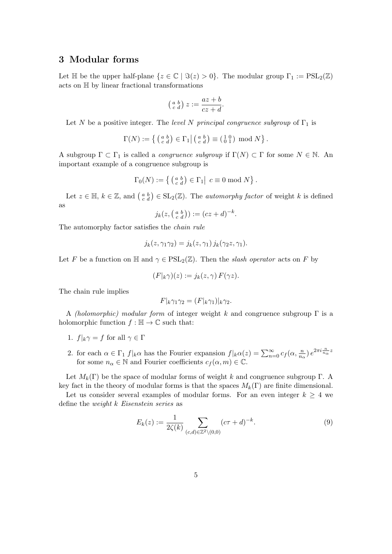### 3 Modular forms

Let  $\mathbb H$  be the upper half-plane  $\{z \in \mathbb C \mid \Im(z) > 0\}$ . The modular group  $\Gamma_1 := \mathrm{PSL}_2(\mathbb Z)$ acts on H by linear fractional transformations

$$
\left(\begin{smallmatrix} a & b \\ c & d \end{smallmatrix}\right) z := \frac{az+b}{cz+d}.
$$

Let N be a positive integer. The level N principal congruence subgroup of  $\Gamma_1$  is

$$
\Gamma(N) := \left\{ \left( \begin{smallmatrix} a & b \\ c & d \end{smallmatrix} \right) \in \Gamma_1 \middle| \left( \begin{smallmatrix} a & b \\ c & d \end{smallmatrix} \right) \equiv \left( \begin{smallmatrix} 1 & 0 \\ 0 & 1 \end{smallmatrix} \right) \bmod N \right\}.
$$

A subgroup  $\Gamma \subset \Gamma_1$  is called a *congruence subgroup* if  $\Gamma(N) \subset \Gamma$  for some  $N \in \mathbb{N}$ . An important example of a congruence subgroup is

$$
\Gamma_0(N) := \left\{ \left( \begin{smallmatrix} a & b \\ c & d \end{smallmatrix} \right) \in \Gamma_1 \middle| c \equiv 0 \bmod N \right\}.
$$

Let  $z \in \mathbb{H}$ ,  $k \in \mathbb{Z}$ , and  $\begin{pmatrix} a & b \\ c & d \end{pmatrix} \in SL_2(\mathbb{Z})$ . The *automorphy factor* of weight k is defined as

$$
j_k(z, \left(\begin{smallmatrix} a & b \\ c & d \end{smallmatrix}\right)) := (cz+d)^{-k}.
$$

The automorphy factor satisfies the chain rule

$$
j_k(z, \gamma_1 \gamma_2) = j_k(z, \gamma_1) j_k(\gamma_2 z, \gamma_1).
$$

Let F be a function on H and  $\gamma \in \text{PSL}_2(\mathbb{Z})$ . Then the slash operator acts on F by

$$
(F|_{k}\gamma)(z) := j_{k}(z,\gamma) F(\gamma z).
$$

The chain rule implies

$$
F|_{k}\gamma_1\gamma_2 = (F|_{k}\gamma_1)|_{k}\gamma_2.
$$

A (holomorphic) modular form of integer weight k and congruence subgroup  $\Gamma$  is a holomorphic function  $f : \mathbb{H} \to \mathbb{C}$  such that:

- 1.  $f|_k \gamma = f$  for all  $\gamma \in \Gamma$
- 2. for each  $\alpha \in \Gamma_1 f|_{k} \alpha$  has the Fourier expansion  $f|_{k} \alpha(z) = \sum_{n=0}^{\infty} c_f(\alpha, \frac{n}{n_{\alpha}}) e^{2\pi i \frac{n}{n_{\alpha}} z}$ for some  $n_{\alpha} \in \mathbb{N}$  and Fourier coefficients  $c_f(\alpha, m) \in \mathbb{C}$ .

Let  $M_k(\Gamma)$  be the space of modular forms of weight k and congruence subgroup  $\Gamma$ . A key fact in the theory of modular forms is that the spaces  $M_k(\Gamma)$  are finite dimensional.

Let us consider several examples of modular forms. For an even integer  $k \geq 4$  we define the weight k Eisenstein series as

<span id="page-4-0"></span>
$$
E_k(z) := \frac{1}{2\zeta(k)} \sum_{(c,d)\in\mathbb{Z}^2\setminus(0,0)} (c\tau + d)^{-k}.
$$
 (9)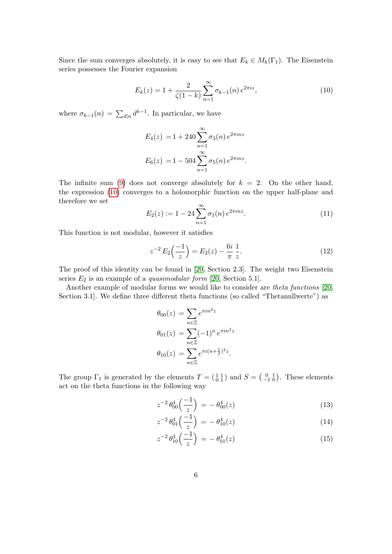Since the sum converges absolutely, it is easy to see that  $E_k \in M_k(\Gamma_1)$ . The Eisenstein series possesses the Fourier expansion

<span id="page-5-0"></span>
$$
E_k(z) = 1 + \frac{2}{\zeta(1-k)} \sum_{n=1}^{\infty} \sigma_{k-1}(n) e^{2\pi i z},
$$
\n(10)

where  $\sigma_{k-1}(n) = \sum_{d|n} d^{k-1}$ . In particular, we have

$$
E_4(z) = 1 + 240 \sum_{n=1}^{\infty} \sigma_3(n) e^{2\pi i n z}
$$
  

$$
E_6(z) = 1 - 504 \sum_{n=1}^{\infty} \sigma_5(n) e^{2\pi i n z}.
$$

The infinite sum [\(9\)](#page-4-0) does not converge absolutely for  $k = 2$ . On the other hand, the expression [\(10\)](#page-5-0) converges to a holomorphic function on the upper half-plane and therefore we set

<span id="page-5-2"></span>
$$
E_2(z) := 1 - 24 \sum_{n=1}^{\infty} \sigma_1(n) e^{2\pi i n z}.
$$
 (11)

This function is not modular, however it satisfies

<span id="page-5-1"></span>
$$
z^{-2} E_2\left(\frac{-1}{z}\right) = E_2(z) - \frac{6i}{\pi} \frac{1}{z}.
$$
 (12)

The proof of this identity can be found in [\[20,](#page-22-0) Section 2.3]. The weight two Eisenstein series  $E_2$  is an example of a *quasimodular form* [\[20,](#page-22-0) Section 5.1].

Another example of modular forms we would like to consider are theta functions [\[20,](#page-22-0) Section 3.1]. We define three different theta functions (so called "Thetanullwerte") as

$$
\theta_{00}(z) = \sum_{n \in \mathbb{Z}} e^{\pi i n^2 z} \n\theta_{01}(z) = \sum_{n \in \mathbb{Z}} (-1)^n e^{\pi i n^2 z} \n\theta_{10}(z) = \sum_{n \in \mathbb{Z}} e^{\pi i (n + \frac{1}{2})^2 z}.
$$

The group  $\Gamma_1$  is generated by the elements  $T = \begin{pmatrix} 1 & 1 \\ 0 & 1 \end{pmatrix}$  and  $S = \begin{pmatrix} 0 & 1 \\ -1 & 0 \end{pmatrix}$ . These elements act on the theta functions in the following way

<span id="page-5-3"></span>
$$
z^{-2} \theta_{00}^4 \left(\frac{-1}{z}\right) = -\theta_{00}^4(z) \tag{13}
$$

$$
z^{-2} \theta_{01}^4 \left(\frac{-1}{z}\right) = -\theta_{10}^4(z) \tag{14}
$$

$$
z^{-2} \theta_{10}^4 \left(\frac{-1}{z}\right) = -\theta_{01}^4(z) \tag{15}
$$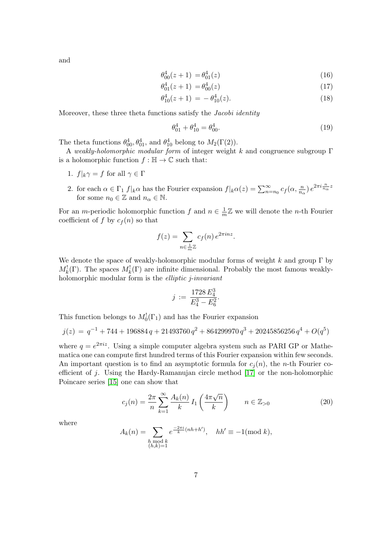and

$$
\theta_{00}^4(z+1) = \theta_{01}^4(z) \tag{16}
$$

$$
\theta_{01}^4(z+1) = \theta_{00}^4(z) \tag{17}
$$

$$
\theta_{10}^4(z+1) = -\theta_{10}^4(z). \tag{18}
$$

Moreover, these three theta functions satisfy the Jacobi identity

<span id="page-6-1"></span>
$$
\theta_{01}^4 + \theta_{10}^4 = \theta_{00}^4. \tag{19}
$$

The theta functions  $\theta_{00}^4$ ,  $\theta_{01}^4$ , and  $\theta_{10}^4$  belong to  $M_2(\Gamma(2))$ .

A weakly-holomorphic modular form of integer weight k and congruence subgroup Γ is a holomorphic function  $f : \mathbb{H} \to \mathbb{C}$  such that:

- 1.  $f|_k \gamma = f$  for all  $\gamma \in \Gamma$
- 2. for each  $\alpha \in \Gamma_1 f|_k \alpha$  has the Fourier expansion  $f|_k \alpha(z) = \sum_{n=n_0}^{\infty} c_f(\alpha, \frac{n}{n_\alpha}) e^{2\pi i \frac{n}{n_\alpha} z}$ for some  $n_0 \in \mathbb{Z}$  and  $n_\alpha \in \mathbb{N}$ .

For an *m*-periodic holomorphic function f and  $n \in \frac{1}{n}$  $\frac{1}{m}\mathbb{Z}$  we will denote the *n*-th Fourier coefficient of f by  $c_f(n)$  so that

$$
f(z) = \sum_{n \in \frac{1}{m}\mathbb{Z}} c_f(n) e^{2\pi i n z}.
$$

We denote the space of weakly-holomorphic modular forms of weight  $k$  and group  $\Gamma$  by  $M_k^!(\Gamma)$ . The spaces  $M_k^!(\Gamma)$  are infinite dimensional. Probably the most famous weaklyholomorphic modular form is the *elliptic j-invariant* 

$$
j := \frac{1728 E_4^3}{E_4^3 - E_6^2}.
$$

This function belongs to  $M_0^1(\Gamma_1)$  and has the Fourier expansion

$$
j(z) = q^{-1} + 744 + 196884 q + 21493760 q^{2} + 864299970 q^{3} + 20245856256 q^{4} + O(q^{5})
$$

where  $q = e^{2\pi i z}$ . Using a simple computer algebra system such as PARI GP or Mathematica one can compute first hundred terms of this Fourier expansion within few seconds. An important question is to find an asymptotic formula for  $c_i(n)$ , the *n*-th Fourier coefficient of j. Using the Hardy-Ramanujan circle method [\[17\]](#page-21-10) or the non-holomorphic Poincare series [\[15\]](#page-21-11) one can show that

<span id="page-6-0"></span>
$$
c_j(n) = \frac{2\pi}{n} \sum_{k=1}^{\infty} \frac{A_k(n)}{k} I_1\left(\frac{4\pi\sqrt{n}}{k}\right) \qquad n \in \mathbb{Z}_{>0}
$$
 (20)

where

$$
A_k(n) = \sum_{\substack{h \bmod k \\ (h,k)=1}} e^{\frac{-2\pi i}{k}(nh+h')}, \quad hh' \equiv -1 \pmod{k},
$$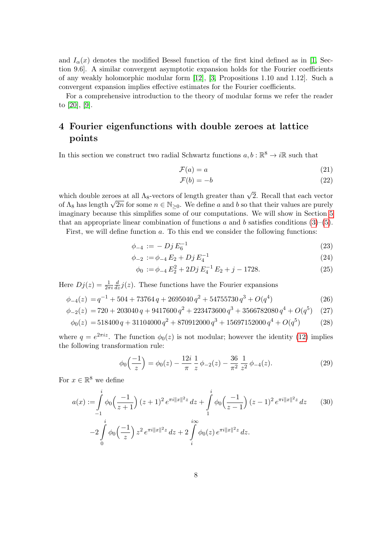and  $I_{\alpha}(x)$  denotes the modified Bessel function of the first kind defined as in [\[1,](#page-20-1) Section 9.6]. A similar convergent asymptotic expansion holds for the Fourier coefficients of any weakly holomorphic modular form [\[12\]](#page-21-12), [\[3,](#page-21-13) Propositions 1.10 and 1.12]. Such a convergent expansion implies effective estimates for the Fourier coefficients.

For a comprehensive introduction to the theory of modular forms we refer the reader to [\[20\]](#page-22-0), [\[9\]](#page-21-14).

# 4 Fourier eigenfunctions with double zeroes at lattice points

In this section we construct two radial Schwartz functions  $a, b : \mathbb{R}^8 \to i\mathbb{R}$  such that

<span id="page-7-5"></span><span id="page-7-1"></span>
$$
\mathcal{F}(a) = a \tag{21}
$$

<span id="page-7-4"></span>
$$
\mathcal{F}(b) = -b \tag{22}
$$

which double zeroes at all  $\Lambda_8$ -vectors of length greater than  $\sqrt{2}$ . Recall that each vector which double zeroes at an  $\Lambda_8$ -vectors of length greater than  $\sqrt{2}$ . Recall that each vector of  $\Lambda_8$  has length  $\sqrt{2n}$  for some  $n \in \mathbb{N}_{\geq 0}$ . We define a and b so that their values are purely imaginary because this simplifies some of our computations. We will show in Section [5](#page-17-0) that an appropriate linear combination of functions a and b satisfies conditions  $(3)-(5)$  $(3)-(5)$ .

First, we will define function a. To this end we consider the following functions:

$$
\phi_{-4} := -\,Dj\,E_6^{-1} \tag{23}
$$

$$
\phi_{-2} := \phi_{-4} E_2 + Dj E_4^{-1} \tag{24}
$$

<span id="page-7-3"></span>
$$
\phi_0 := \phi_{-4} E_2^2 + 2Dj E_4^{-1} E_2 + j - 1728. \tag{25}
$$

Here  $Dj(z) = \frac{1}{2\pi i}$  $\frac{d}{dz}j(z)$ . These functions have the Fourier expansions

$$
\phi_{-4}(z) = q^{-1} + 504 + 73764 q + 2695040 q^2 + 54755730 q^3 + O(q^4)
$$
\n(26)

$$
\phi_{-2}(z) = 720 + 203040 q + 9417600 q^2 + 223473600 q^3 + 3566782080 q^4 + O(q^5) \quad (27)
$$

$$
\phi_0(z) = 518400 q + 31104000 q^2 + 870912000 q^3 + 15697152000 q^4 + O(q^5)
$$
 (28)

where  $q = e^{2\pi i z}$ . The function  $\phi_0(z)$  is not modular; however the identity [\(12\)](#page-5-1) implies the following transformation rule:

<span id="page-7-2"></span><span id="page-7-0"></span>
$$
\phi_0\left(\frac{-1}{z}\right) = \phi_0(z) - \frac{12i}{\pi} \frac{1}{z} \phi_{-2}(z) - \frac{36}{\pi^2} \frac{1}{z^2} \phi_{-4}(z). \tag{29}
$$

For  $x \in \mathbb{R}^8$  we define

$$
a(x) := \int_{-1}^{i} \phi_0\left(\frac{-1}{z+1}\right) (z+1)^2 e^{\pi i ||x||^2 z} dz + \int_{1}^{i} \phi_0\left(\frac{-1}{z-1}\right) (z-1)^2 e^{\pi i ||x||^2 z} dz \qquad (30)
$$

$$
-2 \int_{0}^{i} \phi_0\left(\frac{-1}{z}\right) z^2 e^{\pi i ||x||^2 z} dz + 2 \int_{i}^{i\infty} \phi_0(z) e^{\pi i ||x||^2 z} dz.
$$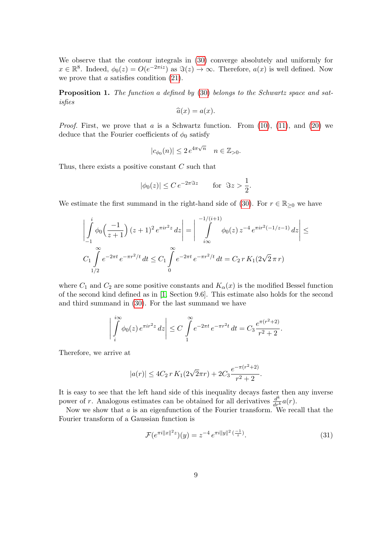We observe that the contour integrals in [\(30\)](#page-7-0) converge absolutely and uniformly for  $x \in \mathbb{R}^8$ . Indeed,  $\phi_0(z) = O(e^{-2\pi i z})$  as  $\Im(z) \to \infty$ . Therefore,  $a(x)$  is well defined. Now we prove that  $a$  satisfies condition  $(21)$ .

<span id="page-8-0"></span>Proposition 1. The function a defined by [\(30\)](#page-7-0) belongs to the Schwartz space and satisfies

$$
\widehat{a}(x) = a(x).
$$

*Proof.* First, we prove that  $a$  is a Schwartz function. From  $(10)$ ,  $(11)$ , and  $(20)$  we deduce that the Fourier coefficients of  $\phi_0$  satisfy

$$
|c_{\phi_0}(n)| \leq 2 e^{4\pi \sqrt{n}} \quad n \in \mathbb{Z}_{>0}.
$$

Thus, there exists a positive constant  $C$  such that

$$
|\phi_0(z)| \le C e^{-2\pi \Im z} \qquad \text{for } \Im z > \frac{1}{2}.
$$

We estimate the first summand in the right-hand side of [\(30\)](#page-7-0). For  $r \in \mathbb{R}_{\geq 0}$  we have

$$
\left| \int_{-1}^{i} \phi_0 \left( \frac{-1}{z+1} \right) (z+1)^2 e^{\pi i r^2 z} dz \right| = \left| \int_{i\infty}^{-1/(i+1)} \phi_0(z) z^{-4} e^{\pi i r^2 (-1/z-1)} dz \right| \leq
$$
  

$$
C_1 \int_{1/2}^{\infty} e^{-2\pi t} e^{-\pi r^2/t} dt \leq C_1 \int_{0}^{\infty} e^{-2\pi t} e^{-\pi r^2/t} dt = C_2 r K_1(2\sqrt{2}\pi r)
$$

where  $C_1$  and  $C_2$  are some positive constants and  $K_{\alpha}(x)$  is the modified Bessel function of the second kind defined as in [\[1,](#page-20-1) Section 9.6]. This estimate also holds for the second and third summand in [\(30\)](#page-7-0). For the last summand we have

$$
\left| \int_{i}^{i\infty} \phi_0(z) e^{\pi i r^2 z} dz \right| \leq C \int_{1}^{\infty} e^{-2\pi t} e^{-\pi r^2 t} dt = C_3 \frac{e^{\pi (r^2 + 2)}}{r^2 + 2}.
$$

Therefore, we arrive at

$$
|a(r)| \le 4C_2 r K_1(2\sqrt{2}\pi r) + 2C_3 \frac{e^{-\pi(r^2+2)}}{r^2+2}.
$$

It is easy to see that the left hand side of this inequality decays faster then any inverse power of r. Analogous estimates can be obtained for all derivatives  $\frac{d^k}{dr^k}a(r)$ .

Now we show that a is an eigenfunction of the Fourier transform. We recall that the Fourier transform of a Gaussian function is

<span id="page-8-1"></span>
$$
\mathcal{F}(e^{\pi i \|x\|^2 z})(y) = z^{-4} e^{\pi i \|y\|^2 \left(\frac{-1}{z}\right)}.
$$
\n(31)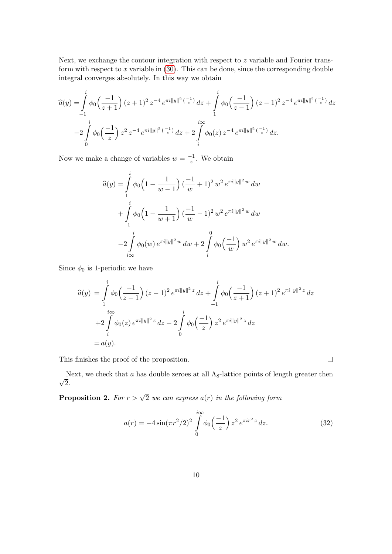Next, we exchange the contour integration with respect to z variable and Fourier transform with respect to x variable in  $(30)$ . This can be done, since the corresponding double integral converges absolutely. In this way we obtain

$$
\widehat{a}(y) = \int_{-1}^{i} \phi_0\left(\frac{-1}{z+1}\right) (z+1)^2 z^{-4} e^{\pi i \|y\|^2 \left(\frac{-1}{z}\right)} dz + \int_{1}^{i} \phi_0\left(\frac{-1}{z-1}\right) (z-1)^2 z^{-4} e^{\pi i \|y\|^2 \left(\frac{-1}{z}\right)} dz
$$

$$
-2 \int_{0}^{i} \phi_0\left(\frac{-1}{z}\right) z^2 z^{-4} e^{\pi i \|y\|^2 \left(\frac{-1}{z}\right)} dz + 2 \int_{i}^{i\infty} \phi_0(z) z^{-4} e^{\pi i \|y\|^2 \left(\frac{-1}{z}\right)} dz.
$$

Now we make a change of variables  $w = \frac{-1}{z}$  $\frac{-1}{z}$ . We obtain

$$
\widehat{a}(y) = \int_{1}^{i} \phi_0 \left( 1 - \frac{1}{w - 1} \right) \left( \frac{-1}{w} + 1 \right)^2 w^2 e^{\pi i ||y||^2 w} dw
$$
  
+ 
$$
\int_{-1}^{i} \phi_0 \left( 1 - \frac{1}{w + 1} \right) \left( \frac{-1}{w} - 1 \right)^2 w^2 e^{\pi i ||y||^2 w} dw
$$
  
- 
$$
-2 \int_{i\infty}^{i} \phi_0(w) e^{\pi i ||y||^2 w} dw + 2 \int_{i}^{0} \phi_0 \left( \frac{-1}{w} \right) w^2 e^{\pi i ||y||^2 w} dw.
$$

Since  $\phi_0$  is 1-periodic we have

$$
\begin{aligned}\n\widehat{a}(y) &= \int_{1}^{i} \phi_0\left(\frac{-1}{z-1}\right)(z-1)^2 \, e^{\pi i \|y\|^2 z} \, dz + \int_{-1}^{i} \phi_0\left(\frac{-1}{z+1}\right)(z+1)^2 \, e^{\pi i \|y\|^2 z} \, dz \\
&+ 2 \int_{i}^{i\infty} \phi_0(z) \, e^{\pi i \|y\|^2 z} \, dz - 2 \int_{0}^{i} \phi_0\left(\frac{-1}{z}\right) z^2 \, e^{\pi i \|y\|^2 z} \, dz \\
&= a(y).\n\end{aligned}
$$

This finishes the proof of the proposition.

√ Next, we check that a has double zeroes at all  $\Lambda_8$ -lattice points of length greater then 2.

<span id="page-9-1"></span>**Proposition 2.** For  $r > \sqrt{2}$  we can express  $a(r)$  in the following form

<span id="page-9-0"></span>
$$
a(r) = -4\sin(\pi r^2/2)^2 \int_0^{i\infty} \phi_0\left(\frac{-1}{z}\right) z^2 e^{\pi i r^2 z} dz.
$$
 (32)

 $\Box$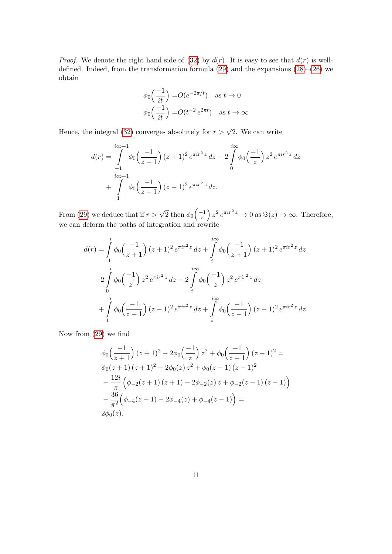*Proof.* We denote the right hand side of [\(32\)](#page-9-0) by  $d(r)$ . It is easy to see that  $d(r)$  is welldefined. Indeed, from the transformation formula [\(29\)](#page-7-2) and the expansions [\(28\)](#page-7-3)–[\(26\)](#page-7-4) we obtain

$$
\phi_0\left(\frac{-1}{it}\right) = O(e^{-2\pi/t}) \quad \text{as } t \to 0
$$

$$
\phi_0\left(\frac{-1}{it}\right) = O(t^{-2}e^{2\pi t}) \quad \text{as } t \to \infty
$$

Hence, the integral [\(32\)](#page-9-0) converges absolutely for  $r > \sqrt{2}$ . We can write

$$
d(r) = \int_{-1}^{i\infty - 1} \phi_0\left(\frac{-1}{z+1}\right) (z+1)^2 e^{\pi i r^2 z} dz - 2 \int_{0}^{i\infty} \phi_0\left(\frac{-1}{z}\right) z^2 e^{\pi i r^2 z} dz + \int_{1}^{i\infty + 1} \phi_0\left(\frac{-1}{z-1}\right) (z-1)^2 e^{\pi i r^2 z} dz.
$$

From [\(29\)](#page-7-2) we deduce that if  $r > \sqrt{2}$  then  $\phi_0 \left( \frac{-1}{z} \right)$  $\frac{(-1)}{z}$   $z^2 e^{\pi i r^2 z} \to 0$  as  $\Im(z) \to \infty$ . Therefore, we can deform the paths of integration and rewrite

$$
d(r) = \int_{-1}^{i} \phi_0 \left(\frac{-1}{z+1}\right) (z+1)^2 e^{\pi i r^2 z} dz + \int_{i}^{i\infty} \phi_0 \left(\frac{-1}{z+1}\right) (z+1)^2 e^{\pi i r^2 z} dz
$$
  

$$
-2 \int_{0}^{i} \phi_0 \left(\frac{-1}{z}\right) z^2 e^{\pi i r^2 z} dz - 2 \int_{i}^{i\infty} \phi_0 \left(\frac{-1}{z}\right) z^2 e^{\pi i r^2 z} dz
$$
  

$$
+ \int_{1}^{i} \phi_0 \left(\frac{-1}{z-1}\right) (z-1)^2 e^{\pi i r^2 z} dz + \int_{i}^{i\infty} \phi_0 \left(\frac{-1}{z-1}\right) (z-1)^2 e^{\pi i r^2 z} dz.
$$

Now from [\(29\)](#page-7-2) we find

$$
\phi_0\left(\frac{-1}{z+1}\right)(z+1)^2 - 2\phi_0\left(\frac{-1}{z}\right)z^2 + \phi_0\left(\frac{-1}{z-1}\right)(z-1)^2 =
$$
  
\n
$$
\phi_0(z+1)(z+1)^2 - 2\phi_0(z)z^2 + \phi_0(z-1)(z-1)^2
$$
  
\n
$$
-\frac{12i}{\pi}\left(\phi_{-2}(z+1)(z+1) - 2\phi_{-2}(z)z + \phi_{-2}(z-1)(z-1)\right)
$$
  
\n
$$
-\frac{36}{\pi^2}\left(\phi_{-4}(z+1) - 2\phi_{-4}(z) + \phi_{-4}(z-1)\right) =
$$
  
\n
$$
2\phi_0(z).
$$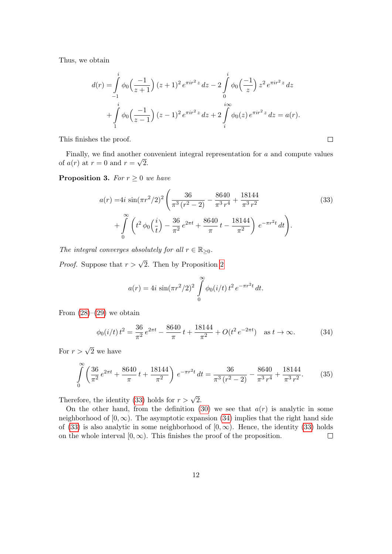Thus, we obtain

$$
d(r) = \int_{-1}^{i} \phi_0 \left(\frac{-1}{z+1}\right) (z+1)^2 e^{\pi i r^2 z} dz - 2 \int_{0}^{i} \phi_0 \left(\frac{-1}{z}\right) z^2 e^{\pi i r^2 z} dz + \int_{1}^{i} \phi_0 \left(\frac{-1}{z-1}\right) (z-1)^2 e^{\pi i r^2 z} dz + 2 \int_{i}^{i\infty} \phi_0(z) e^{\pi i r^2 z} dz = a(r).
$$

<span id="page-11-0"></span> $\Box$ 

This finishes the proof.

Finally, we find another convenient integral representation for  $a$  and compute values of  $a(r)$  at  $r=0$  and  $r=\sqrt{2}$ .

<span id="page-11-2"></span>**Proposition 3.** For  $r \geq 0$  we have

$$
a(r) = 4i \sin(\pi r^2/2)^2 \left( \frac{36}{\pi^3 (r^2 - 2)} - \frac{8640}{\pi^3 r^4} + \frac{18144}{\pi^3 r^2} + \int_0^\infty \left( t^2 \phi_0 \left( \frac{i}{t} \right) - \frac{36}{\pi^2} e^{2\pi t} + \frac{8640}{\pi} t - \frac{18144}{\pi^2} \right) e^{-\pi r^2 t} dt \right).
$$
 (33)

The integral converges absolutely for all  $r \in \mathbb{R}_{\geq 0}$ .

*Proof.* Suppose that  $r > \sqrt{2}$ . Then by Proposition [2](#page-9-1)

$$
a(r) = 4i \sin(\pi r^2/2)^2 \int_0^\infty \phi_0(i/t) t^2 e^{-\pi r^2 t} dt.
$$

From  $(28)$ – $(29)$  we obtain

<span id="page-11-1"></span>
$$
\phi_0(i/t) t^2 = \frac{36}{\pi^2} e^{2\pi t} - \frac{8640}{\pi} t + \frac{18144}{\pi^2} + O(t^2 e^{-2\pi t}) \quad \text{as } t \to \infty.
$$
 (34)

For  $r > \sqrt{2}$  we have

$$
\int_{0}^{\infty} \left( \frac{36}{\pi^2} e^{2\pi t} + \frac{8640}{\pi} t + \frac{18144}{\pi^2} \right) e^{-\pi r^2 t} dt = \frac{36}{\pi^3 (r^2 - 2)} - \frac{8640}{\pi^3 r^4} + \frac{18144}{\pi^3 r^2}.
$$
 (35)

Therefore, the identity [\(33\)](#page-11-0) holds for  $r > \sqrt{2}$ .

On the other hand, from the definition [\(30\)](#page-7-0) we see that  $a(r)$  is analytic in some neighborhood of  $[0, \infty)$ . The asymptotic expansion [\(34\)](#page-11-1) implies that the right hand side of [\(33\)](#page-11-0) is also analytic in some neighborhood of  $[0, \infty)$ . Hence, the identity (33) holds on the whole interval  $[0, \infty)$ . This finishes the proof of the proposition.  $\Box$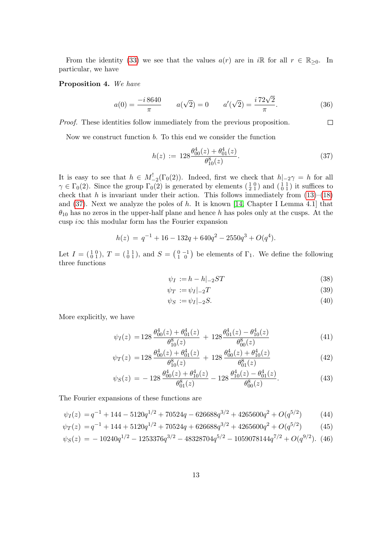From the identity [\(33\)](#page-11-0) we see that the values  $a(r)$  are in iR for all  $r \in \mathbb{R}_{\geq 0}$ . In particular, we have

#### <span id="page-12-5"></span>Proposition 4. We have

$$
a(0) = \frac{-i\,8640}{\pi} \qquad a(\sqrt{2}) = 0 \qquad a'(\sqrt{2}) = \frac{i\,72\sqrt{2}}{\pi}.\tag{36}
$$

Proof. These identities follow immediately from the previous proposition.

Now we construct function b. To this end we consider the function

<span id="page-12-0"></span>
$$
h(z) := 128 \frac{\theta_{00}^4(z) + \theta_{01}^4(z)}{\theta_{10}^8(z)}.
$$
\n(37)

<span id="page-12-1"></span> $\Box$ 

It is easy to see that  $h \in M^!_{-2}(\Gamma_0(2))$ . Indeed, first we check that  $h|_{-2}\gamma = h$  for all  $\gamma \in \Gamma_0(2)$ . Since the group  $\Gamma_0(2)$  is generated by elements  $\left(\frac{1}{2}, \frac{0}{1}\right)$  and  $\left(\frac{1}{0}, \frac{1}{1}\right)$  it suffices to check that h is invariant under their action. This follows immediately from  $(13)$ – $(18)$ and [\(37\)](#page-12-0). Next we analyze the poles of h. It is known [\[14,](#page-21-15) Chapter I Lemma 4.1] that  $\theta_{10}$  has no zeros in the upper-half plane and hence h has poles only at the cusps. At the cusp i $\infty$  this modular form has the Fourier expansion

$$
h(z) = q^{-1} + 16 - 132q + 640q^{2} - 2550q^{3} + O(q^{4}).
$$

Let  $I = \begin{pmatrix} 1 & 0 \\ 0 & 1 \end{pmatrix}$ ,  $T = \begin{pmatrix} 1 & 1 \\ 0 & 1 \end{pmatrix}$ , and  $S = \begin{pmatrix} 0 & -1 \\ 1 & 0 \end{pmatrix}$  be elements of  $\Gamma_1$ . We define the following three functions

<span id="page-12-2"></span>
$$
\psi_I := h - h|_{-2}ST \tag{38}
$$

$$
\psi_T := \psi_I|_{-2}T\tag{39}
$$

<span id="page-12-4"></span><span id="page-12-3"></span>
$$
\psi_S := \psi_I |_{-2} S. \tag{40}
$$

More explicitly, we have

$$
\psi_I(z) = 128 \frac{\theta_{00}^4(z) + \theta_{01}^4(z)}{\theta_{10}^8(z)} + 128 \frac{\theta_{01}^4(z) - \theta_{10}^4(z)}{\theta_{00}^8(z)}
$$
(41)

$$
\psi_T(z) = 128 \frac{\theta_{00}^4(z) + \theta_{01}^4(z)}{\theta_{10}^8(z)} + 128 \frac{\theta_{00}^4(z) + \theta_{10}^4(z)}{\theta_{01}^8(z)}
$$
(42)

$$
\psi_S(z) = -128 \frac{\theta_{00}^4(z) + \theta_{10}^4(z)}{\theta_{01}^8(z)} - 128 \frac{\theta_{10}^4(z) - \theta_{01}^4(z)}{\theta_{00}^8(z)}.
$$
\n(43)

The Fourier expansions of these functions are

$$
\psi_I(z) = q^{-1} + 144 - 5120q^{1/2} + 70524q - 626688q^{3/2} + 4265600q^2 + O(q^{5/2})\tag{44}
$$

$$
\psi_T(z) = q^{-1} + 144 + 5120q^{1/2} + 70524q + 626688q^{3/2} + 4265600q^2 + O(q^{5/2})\tag{45}
$$

$$
\psi_S(z) = -10240q^{1/2} - 1253376q^{3/2} - 48328704q^{5/2} - 1059078144q^{7/2} + O(q^{9/2}).
$$
 (46)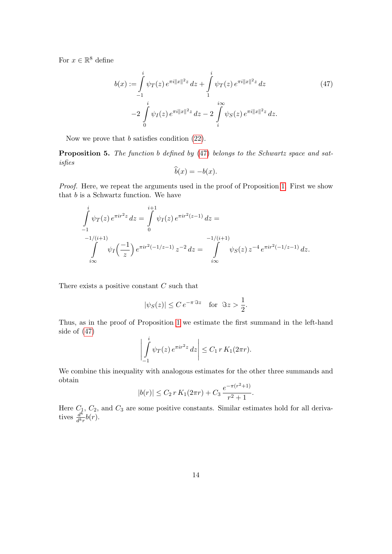For  $x \in \mathbb{R}^8$  define

$$
b(x) := \int_{-1}^{i} \psi_T(z) e^{\pi i ||x||^2 z} dz + \int_{1}^{i} \psi_T(z) e^{\pi i ||x||^2 z} dz
$$
\n
$$
-2 \int_{0}^{i} \psi_I(z) e^{\pi i ||x||^2 z} dz - 2 \int_{i}^{i \infty} \psi_S(z) e^{\pi i ||x||^2 z} dz.
$$
\n(47)

Now we prove that b satisfies condition [\(22\)](#page-7-5).

Proposition 5. The function b defined by [\(47\)](#page-13-0) belongs to the Schwartz space and satisfies

<span id="page-13-0"></span>
$$
\widehat{b}(x) = -b(x).
$$

Proof. Here, we repeat the arguments used in the proof of Proposition [1.](#page-8-0) First we show that  $b$  is a Schwartz function. We have

$$
\int_{-1}^{i} \psi_T(z) e^{\pi i r^2 z} dz = \int_{0}^{i+1} \psi_I(z) e^{\pi i r^2 (z-1)} dz =
$$
\n
$$
\int_{i\infty}^{-1/(i+1)} \psi_I\left(\frac{-1}{z}\right) e^{\pi i r^2 (-1/z - 1)} z^{-2} dz = \int_{i\infty}^{-1/(i+1)} \psi_S(z) z^{-4} e^{\pi i r^2 (-1/z - 1)} dz.
$$

There exists a positive constant C such that

$$
|\psi_S(z)| \le C e^{-\pi \Im z} \quad \text{for } \Im z > \frac{1}{2}.
$$

Thus, as in the proof of Proposition [1](#page-8-0) we estimate the first summand in the left-hand side of [\(47\)](#page-13-0)

$$
\left|\int_{-1}^i \psi_T(z) e^{\pi i r^2 z} dz \right| \leq C_1 r K_1(2\pi r).
$$

We combine this inequality with analogous estimates for the other three summands and obtain

$$
|b(r)| \le C_2 r K_1(2\pi r) + C_3 \frac{e^{-\pi (r^2+1)}}{r^2+1}.
$$

Here  $C_1, C_2$ , and  $C_3$  are some positive constants. Similar estimates hold for all derivatives  $\frac{d^k}{dk}$  $\frac{d^n}{d^kr}b(r).$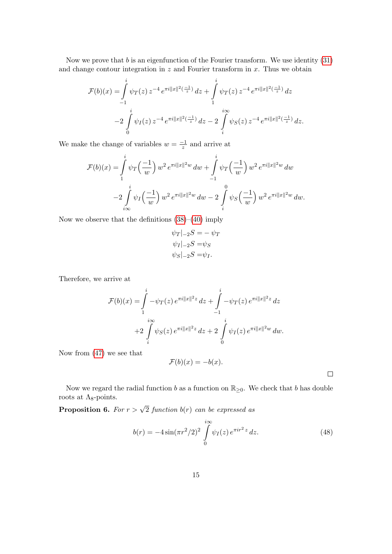Now we prove that  $b$  is an eigenfunction of the Fourier transform. We use identity  $(31)$ and change contour integration in  $z$  and Fourier transform in  $x$ . Thus we obtain

$$
\mathcal{F}(b)(x) = \int_{-1}^{i} \psi_T(z) z^{-4} e^{\pi i ||x||^2(\frac{-1}{z})} dz + \int_{1}^{i} \psi_T(z) z^{-4} e^{\pi i ||x||^2(\frac{-1}{z})} dz
$$
  

$$
-2 \int_{0}^{i} \psi_I(z) z^{-4} e^{\pi i ||x||^2(\frac{-1}{z})} dz - 2 \int_{i}^{i} \psi_S(z) z^{-4} e^{\pi i ||x||^2(\frac{-1}{z})} dz.
$$

We make the change of variables  $w = \frac{-1}{\zeta}$  $\frac{-1}{z}$  and arrive at

$$
\mathcal{F}(b)(x) = \int_{1}^{i} \psi_T\left(\frac{-1}{w}\right) w^2 e^{\pi i \|x\|^2 w} dw + \int_{-1}^{i} \psi_T\left(\frac{-1}{w}\right) w^2 e^{\pi i \|x\|^2 w} dw
$$

$$
-2 \int_{i\infty}^{i} \psi_I\left(\frac{-1}{w}\right) w^2 e^{\pi i \|x\|^2 w} dw - 2 \int_{i}^{0} \psi_S\left(\frac{-1}{w}\right) w^2 e^{\pi i \|x\|^2 w} dw.
$$

Now we observe that the definitions  $(38)–(40)$  $(38)–(40)$  imply

$$
\psi_T|_{-2}S = -\psi_T
$$
  

$$
\psi_I|_{-2}S = \psi_S
$$
  

$$
\psi_S|_{-2}S = \psi_I.
$$

Therefore, we arrive at

$$
\mathcal{F}(b)(x) = \int_{1}^{i} -\psi_T(z) e^{\pi i ||x||^2 z} dz + \int_{-1}^{i} -\psi_T(z) e^{\pi i ||x||^2 z} dz \n+2 \int_{i}^{i\infty} \psi_S(z) e^{\pi i ||x||^2 z} dz + 2 \int_{0}^{i} \psi_I(z) e^{\pi i ||x||^2 w} dw.
$$

Now from [\(47\)](#page-13-0) we see that

$$
\mathcal{F}(b)(x) = -b(x).
$$

 $\Box$ 

Now we regard the radial function b as a function on  $\mathbb{R}_{\geq 0}$ . We check that b has double roots at  $\Lambda_8$ -points.

<span id="page-14-1"></span>**Proposition 6.** For  $r > \sqrt{2}$  function  $b(r)$  can be expressed as

<span id="page-14-0"></span>
$$
b(r) = -4\sin(\pi r^2/2)^2 \int_{0}^{i\infty} \psi_I(z) e^{\pi i r^2 z} dz.
$$
 (48)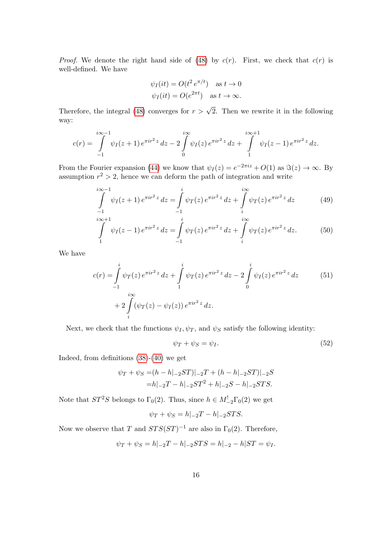*Proof.* We denote the right hand side of [\(48\)](#page-14-0) by  $c(r)$ . First, we check that  $c(r)$  is well-defined. We have

$$
\psi_I(it) = O(t^2 e^{\pi/t}) \text{ as } t \to 0
$$
  

$$
\psi_I(it) = O(e^{2\pi t}) \text{ as } t \to \infty.
$$

Therefore, the integral [\(48\)](#page-14-0) converges for  $r > \sqrt{2}$ . Then we rewrite it in the following way:

$$
c(r) = \int_{-1}^{i\infty-1} \psi_I(z+1) e^{\pi i r^2 z} dz - 2 \int_{0}^{i\infty} \psi_I(z) e^{\pi i r^2 z} dz + \int_{1}^{i\infty+1} \psi_I(z-1) e^{\pi i r^2 z} dz.
$$

From the Fourier expansion [\(44\)](#page-12-3) we know that  $\psi_I(z) = e^{-2\pi i z} + O(1)$  as  $\Im(z) \to \infty$ . By assumption  $r^2 > 2$ , hence we can deform the path of integration and write

$$
\int_{-1}^{i\infty-1} \psi_I(z+1) e^{\pi i r^2 z} dz = \int_{-1}^{i} \psi_T(z) e^{\pi i r^2 z} dz + \int_{i}^{i\infty} \psi_T(z) e^{\pi i r^2 z} dz \tag{49}
$$

$$
\int_{1}^{i\infty+1} \psi_I(z-1) e^{\pi i r^2 z} dz = \int_{-1}^{i} \psi_T(z) e^{\pi i r^2 z} dz + \int_{i}^{i\infty} \psi_T(z) e^{\pi i r^2 z} dz.
$$
 (50)

We have

$$
c(r) = \int_{-1}^{i} \psi_T(z) e^{\pi i r^2 z} dz + \int_{1}^{i} \psi_T(z) e^{\pi i r^2 z} dz - 2 \int_{0}^{i} \psi_I(z) e^{\pi i r^2 z} dz
$$
(51)  
+ 
$$
2 \int_{i}^{i\infty} (\psi_T(z) - \psi_I(z)) e^{\pi i r^2 z} dz.
$$

Next, we check that the functions  $\psi_I, \psi_T$ , and  $\psi_S$  satisfy the following identity:

<span id="page-15-1"></span><span id="page-15-0"></span>
$$
\psi_T + \psi_S = \psi_I. \tag{52}
$$

Indeed, from definitions [\(38\)](#page-12-1)-[\(40\)](#page-12-2) we get

$$
\psi_T + \psi_S = (h - h|_{-2}ST)|_{-2}T + (h - h|_{-2}ST)|_{-2}S
$$

$$
= h|_{-2}T - h|_{-2}ST^2 + h|_{-2}S - h|_{-2}STS.
$$

Note that  $ST^2S$  belongs to  $\Gamma_0(2)$ . Thus, since  $h \in M^!_{-2}\Gamma_0(2)$  we get

$$
\psi_T + \psi_S = h|_{-2}T - h|_{-2}STS.
$$

Now we observe that T and  $STS(ST)^{-1}$  are also in  $\Gamma_0(2)$ . Therefore,

$$
\psi_T + \psi_S = h|_{-2}T - h|_{-2}STS = h|_{-2} - h|ST = \psi_I.
$$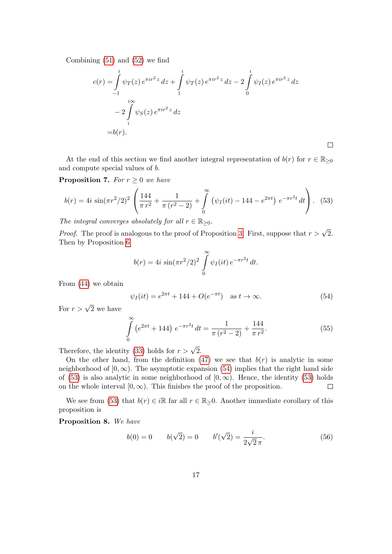Combining [\(51\)](#page-15-0) and [\(52\)](#page-15-1) we find

$$
c(r) = \int_{-1}^{i} \psi_T(z) e^{\pi i r^2 z} dz + \int_{1}^{i} \psi_T(z) e^{\pi i r^2 z} dz - 2 \int_{0}^{i} \psi_I(z) e^{\pi i r^2 z} dz
$$
  

$$
- 2 \int_{i}^{i\infty} \psi_S(z) e^{\pi i r^2 z} dz
$$
  
= b(r).

At the end of this section we find another integral representation of  $b(r)$  for  $r \in \mathbb{R}_{\geq 0}$ and compute special values of b.

<span id="page-16-2"></span>**Proposition 7.** For  $r \geq 0$  we have

<span id="page-16-1"></span>
$$
b(r) = 4i \sin(\pi r^2/2)^2 \left( \frac{144}{\pi r^2} + \frac{1}{\pi (r^2 - 2)} + \int_0^\infty \left( \psi_I(it) - 144 - e^{2\pi t} \right) e^{-\pi r^2 t} dt \right). \tag{53}
$$

The integral converges absolutely for all  $r \in \mathbb{R}_{\geq 0}$ .

*Proof.* The proof is analogous to the proof of Proposition [3.](#page-11-2) First, suppose that  $r > \sqrt{2}$ . Then by Proposition [6](#page-14-1)

$$
b(r) = 4i \sin(\pi r^2/2)^2 \int_{0}^{\infty} \psi_I(it) e^{-\pi r^2 t} dt.
$$

From [\(44\)](#page-12-3) we obtain

<span id="page-16-0"></span>
$$
\psi_I(it) = e^{2\pi t} + 144 + O(e^{-\pi t}) \text{ as } t \to \infty.
$$
\n(54)

 $\Box$ 

For  $r > \sqrt{2}$  we have

$$
\int_{0}^{\infty} \left(e^{2\pi t} + 144\right) e^{-\pi r^2 t} dt = \frac{1}{\pi (r^2 - 2)} + \frac{144}{\pi r^2}.
$$
\n(55)

Therefore, the identity [\(33\)](#page-11-0) holds for  $r > \sqrt{2}$ .

On the other hand, from the definition [\(47\)](#page-13-0) we see that  $b(r)$  is analytic in some neighborhood of  $[0, \infty)$ . The asymptotic expansion [\(54\)](#page-16-0) implies that the right hand side of [\(53\)](#page-16-1) is also analytic in some neighborhood of  $[0, \infty)$ . Hence, the identity (53) holds on the whole interval  $[0, \infty)$ . This finishes the proof of the proposition.  $\Box$ 

We see from [\(53\)](#page-16-1) that  $b(r) \in i\mathbb{R}$  far all  $r \in \mathbb{R}_{>}0$ . Another immediate corollary of this proposition is

<span id="page-16-3"></span>Proposition 8. We have

$$
b(0) = 0 \t b(\sqrt{2}) = 0 \t b'(\sqrt{2}) = \frac{i}{2\sqrt{2}\pi}.
$$
\t(56)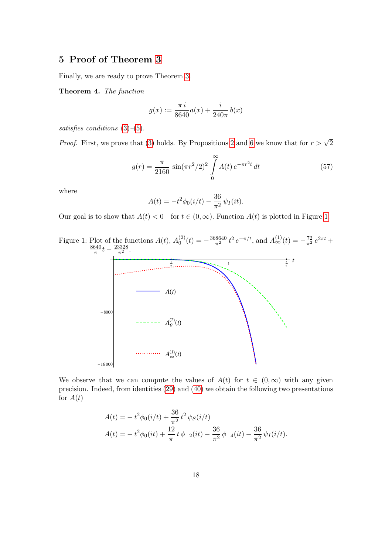# <span id="page-17-0"></span>5 Proof of Theorem [3](#page-3-0)

Finally, we are ready to prove Theorem [3.](#page-3-0)

<span id="page-17-3"></span>Theorem 4. The function

$$
g(x) := \frac{\pi i}{8640} a(x) + \frac{i}{240\pi} b(x)
$$

satisfies conditions [\(3\)](#page-3-1)–[\(5\)](#page-3-2).

*Proof.* First, we prove that [\(3\)](#page-3-1) holds. By Propositions [2](#page-9-1) and [6](#page-14-1) we know that for  $r > \sqrt{2}$ 

<span id="page-17-2"></span>
$$
g(r) = \frac{\pi}{2160} \sin(\pi r^2/2)^2 \int_0^\infty A(t) e^{-\pi r^2 t} dt
$$
 (57)

where

$$
A(t) = -t^2 \phi_0(i/t) - \frac{36}{\pi^2} \psi_I(it).
$$

<span id="page-17-1"></span>Our goal is to show that  $A(t) < 0$  for  $t \in (0, \infty)$ . Function  $A(t)$  is plotted in Figure [1.](#page-17-1)



We observe that we can compute the values of  $A(t)$  for  $t \in (0,\infty)$  with any given precision. Indeed, from identities [\(29\)](#page-7-2) and [\(40\)](#page-12-2) we obtain the following two presentations for  $A(t)$ 

$$
A(t) = -t^2 \phi_0(i/t) + \frac{36}{\pi^2} t^2 \psi_S(i/t)
$$
  
\n
$$
A(t) = -t^2 \phi_0(it) + \frac{12}{\pi} t \phi_{-2}(it) - \frac{36}{\pi^2} \phi_{-4}(it) - \frac{36}{\pi^2} \psi_I(i/t).
$$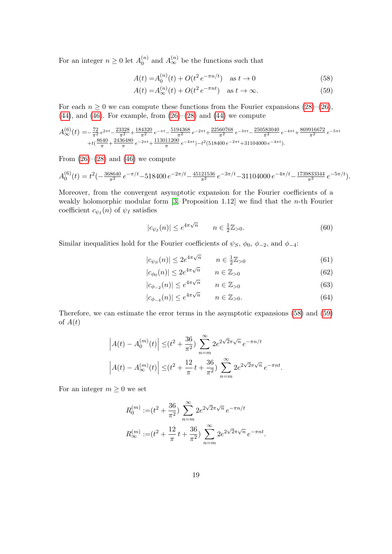For an integer  $n \geq 0$  let  $A_0^{(n)}$  $\binom{n}{0}$  and  $A_{\infty}^{(n)}$  be the functions such that

<span id="page-18-1"></span><span id="page-18-0"></span>
$$
A(t) = A_0^{(n)}(t) + O(t^2 e^{-\pi n/t}) \quad \text{as } t \to 0
$$
\n(58)

$$
A(t) = A_{\infty}^{(n)}(t) + O(t^2 e^{-\pi nt}) \quad \text{as } t \to \infty.
$$
 (59)

For each  $n \geq 0$  we can compute these functions from the Fourier expansions  $(28)$ – $(26)$ ,  $(44)$ , and  $(46)$ . For example, from  $(26)$ – $(28)$  and  $(44)$  we compute

$$
A_{\infty}^{(6)}(t) = -\frac{72}{\pi^2} e^{2\pi t} - \frac{23328}{\pi^2} + \frac{184320}{\pi^2} e^{-\pi t} - \frac{5194368}{\pi^2} e^{-2\pi t} + \frac{22560768}{\pi^2} e^{-3\pi t} - \frac{250583040}{\pi^2} e^{-4\pi t} + \frac{869916672}{\pi^2} e^{-5\pi t} + t\left(\frac{8640}{\pi} + \frac{2436480}{\pi} e^{-2\pi t} + \frac{113011200}{\pi} e^{-4\pi t}\right) - t^2(518400 e^{-2\pi t} + 31104000 e^{-4\pi t}).
$$

From  $(26)-(28)$  $(26)-(28)$  and  $(46)$  we compute

$$
A_0^{(6)}(t) = t^2 \left(-\frac{368640}{\pi^2} e^{-\pi/t} - 518400 e^{-2\pi/t} - \frac{45121536}{\pi^2} e^{-3\pi/t} - 31104000 e^{-4\pi/t} - \frac{1739833344}{\pi^2} e^{-5\pi/t}\right).
$$

Moreover, from the convergent asymptotic expansion for the Fourier coefficients of a weakly holomorphic modular form  $[3,$  Proposition 1.12] we find that the *n*-th Fourier coefficient  $c_{\psi_I}(n)$  of  $\psi_I$  satisfies

<span id="page-18-2"></span>
$$
|c_{\psi_I}(n)| \le e^{4\pi\sqrt{n}} \qquad n \in \frac{1}{2}\mathbb{Z}_{>0}.\tag{60}
$$

Similar inequalities hold for the Fourier coefficients of  $\psi_S$ ,  $\phi_0$ ,  $\phi_{-2}$ , and  $\phi_{-4}$ :

$$
|c_{\psi_S}(n)| \le 2e^{4\pi\sqrt{n}} \qquad n \in \frac{1}{2}\mathbb{Z}_{>0} \tag{61}
$$

$$
|c_{\phi_0}(n)| \le 2e^{4\pi\sqrt{n}} \qquad n \in \mathbb{Z}_{>0} \tag{62}
$$

$$
|c_{\phi_{-2}}(n)| \le e^{4\pi\sqrt{n}} \qquad n \in \mathbb{Z}_{>0}
$$
 (63)

<span id="page-18-3"></span>
$$
|c_{\phi_{-4}}(n)| \le e^{4\pi\sqrt{n}} \qquad n \in \mathbb{Z}_{>0}.\tag{64}
$$

Therefore, we can estimate the error terms in the asymptotic expansions [\(58\)](#page-18-0) and [\(59\)](#page-18-1) of  $A(t)$ 

$$
\left| A(t) - A_0^{(m)}(t) \right| \leq (t^2 + \frac{36}{\pi^2}) \sum_{n=m}^{\infty} 2e^{2\sqrt{2}\pi\sqrt{n}} e^{-\pi n/t}
$$

$$
\left| A(t) - A_{\infty}^{(m)}(t) \right| \leq (t^2 + \frac{12}{\pi}t + \frac{36}{\pi^2}) \sum_{n=m}^{\infty} 2e^{2\sqrt{2}\pi\sqrt{n}} e^{-\pi nt}.
$$

For an integer  $m \geq 0$  we set

$$
R_0^{(m)} := (t^2 + \frac{36}{\pi^2}) \sum_{n=m}^{\infty} 2e^{2\sqrt{2}\pi\sqrt{n}} e^{-\pi n/t}
$$
  

$$
R_{\infty}^{(m)} := (t^2 + \frac{12}{\pi}t + \frac{36}{\pi^2}) \sum_{n=m}^{\infty} 2e^{2\sqrt{2}\pi\sqrt{n}} e^{-\pi nt}.
$$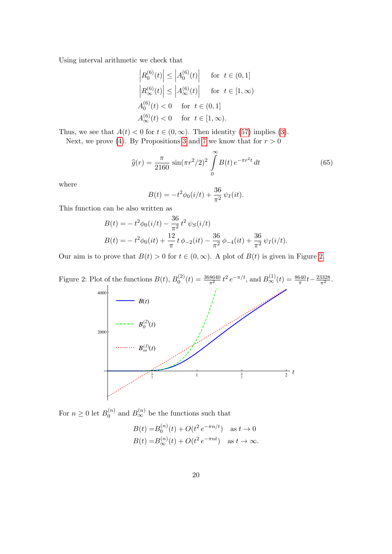Using interval arithmetic we check that

$$
\begin{aligned}\n\left| R_0^{(6)}(t) \right| &\leq \left| A_0^{(6)}(t) \right| \quad \text{ for } \ t \in (0,1] \\
\left| R_\infty^{(6)}(t) \right| &\leq \left| A_\infty^{(6)}(t) \right| \quad \text{ for } \ t \in [1,\infty) \\
A_0^{(6)}(t) < 0 \quad \text{ for } \ t \in (0,1] \\
A_\infty^{(6)}(t) < 0 \quad \text{ for } \ t \in [1,\infty).\n\end{aligned}
$$

Thus, we see that  $A(t) < 0$  for  $t \in (0, \infty)$ . Then identity [\(57\)](#page-17-2) implies [\(3\)](#page-3-1).

Next, we prove [\(4\)](#page-3-3). By Propositions [3](#page-11-2) and [7](#page-16-2) we know that for  $r > 0$ 

<span id="page-19-1"></span>
$$
\hat{g}(r) = \frac{\pi}{2160} \sin(\pi r^2/2)^2 \int_{0}^{\infty} B(t) e^{-\pi r^2 t} dt
$$
\n(65)

where

$$
B(t) = -t^2 \phi_0(i/t) + \frac{36}{\pi^2} \psi_I(it).
$$

This function can be also written as

$$
B(t) = -t^2 \phi_0(i/t) - \frac{36}{\pi^2} t^2 \psi_S(i/t)
$$
  
\n
$$
B(t) = -t^2 \phi_0(it) + \frac{12}{\pi} t \phi_{-2}(it) - \frac{36}{\pi^2} \phi_{-4}(it) + \frac{36}{\pi^2} \psi_I(i/t).
$$

Our aim is to prove that  $B(t) > 0$  for  $t \in (0, \infty)$ . A plot of  $B(t)$  is given in Figure [2.](#page-19-0)

<span id="page-19-0"></span>

For  $n \geq 0$  let  $B_0^{(n)}$  $\binom{n}{0}$  and  $B_{\infty}^{(n)}$  be the functions such that

$$
B(t) = B_0^{(n)}(t) + O(t^2 e^{-\pi n/t}) \text{ as } t \to 0
$$
  

$$
B(t) = B_{\infty}^{(n)}(t) + O(t^2 e^{-\pi nt}) \text{ as } t \to \infty.
$$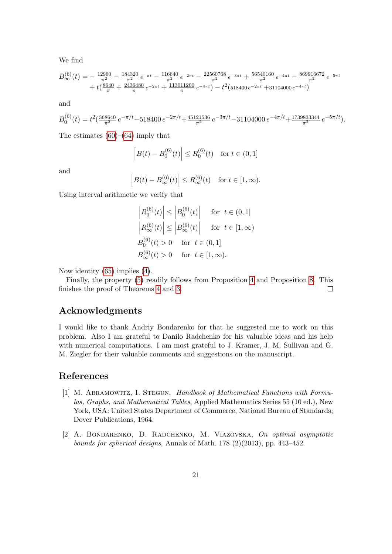We find

$$
B_{\infty}^{(6)}(t) = -\frac{12960}{\pi^2} - \frac{184320}{\pi^2} e^{-\pi t} - \frac{116640}{\pi^2} e^{-2\pi t} - \frac{22560768}{\pi^2} e^{-3\pi t} + \frac{56540160}{\pi^2} e^{-4\pi t} - \frac{869916672}{\pi^2} e^{-5\pi t} + t\left(\frac{8640}{\pi} + \frac{2436480}{\pi} e^{-2\pi t} + \frac{113011200}{\pi} e^{-4\pi t}\right) - t^2\left(518400 e^{-2\pi t} + 31104000 e^{-4\pi t}\right)
$$

and

$$
B_0^{(6)}(t) = t^2 \left( \frac{368640}{\pi^2} e^{-\pi/t} - 518400 e^{-2\pi/t} + \frac{45121536}{\pi^2} e^{-3\pi/t} - 31104000 e^{-4\pi/t} + \frac{1739833344}{\pi^2} e^{-5\pi/t} \right).
$$

The estimates  $(60)$ – $(64)$  imply that

$$
\left| B(t) - B_0^{(6)}(t) \right| \le R_0^{(6)}(t) \quad \text{for } t \in (0, 1]
$$

and

$$
\left| B(t) - B_{\infty}^{(6)}(t) \right| \le R_{\infty}^{(6)}(t) \quad \text{for } t \in [1, \infty).
$$

Using interval arithmetic we verify that

 $\mathbf{r}$ 

$$
\begin{aligned}\n\left| R_0^{(6)}(t) \right| &\leq \left| B_0^{(6)}(t) \right| \quad \text{ for } \, t \in (0,1] \\
\left| R_\infty^{(6)}(t) \right| &\leq \left| B_\infty^{(6)}(t) \right| \quad \text{ for } \, t \in [1,\infty) \\
B_0^{(6)}(t) > 0 \quad \text{ for } \, t \in (0,1] \\
B_\infty^{(6)}(t) > 0 \quad \text{ for } \, t \in [1,\infty).\n\end{aligned}
$$

Now identity [\(65\)](#page-19-1) implies [\(4\)](#page-3-3).

Finally, the property [\(5\)](#page-3-2) readily follows from Proposition [4](#page-12-5) and Proposition [8.](#page-16-3) This finishes the proof of Theorems [4](#page-17-3) and [3.](#page-3-0)  $\Box$ 

# Acknowledgments

I would like to thank Andriy Bondarenko for that he suggested me to work on this problem. Also I am grateful to Danilo Radchenko for his valuable ideas and his help with numerical computations. I am most grateful to J. Kramer, J. M. Sullivan and G. M. Ziegler for their valuable comments and suggestions on the manuscript.

#### References

- <span id="page-20-1"></span>[1] M. Abramowitz, I. Stegun, Handbook of Mathematical Functions with Formulas, Graphs, and Mathematical Tables, Applied Mathematics Series 55 (10 ed.), New York, USA: United States Department of Commerce, National Bureau of Standards; Dover Publications, 1964.
- <span id="page-20-0"></span>[2] A. Bondarenko, D. Radchenko, M. Viazovska, On optimal asymptotic bounds for spherical designs, Annals of Math. 178 (2)(2013), pp. 443–452.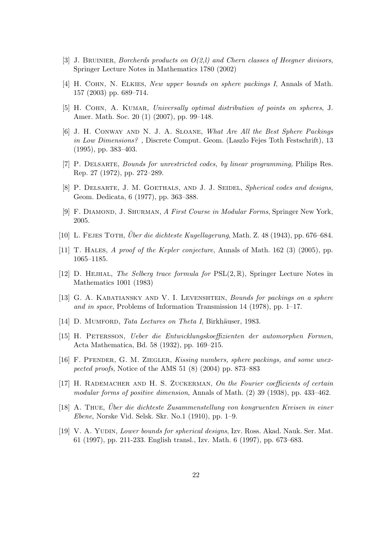- <span id="page-21-13"></span>[3] J. BRUINIER, Borcherds products on  $O(2, l)$  and Chern classes of Heegner divisors, Springer Lecture Notes in Mathematics 1780 (2002)
- <span id="page-21-4"></span>[4] H. COHN, N. ELKIES, New upper bounds on sphere packings I, Annals of Math. 157 (2003) pp. 689–714.
- <span id="page-21-9"></span>[5] H. COHN, A. KUMAR, Universally optimal distribution of points on spheres, J. Amer. Math. Soc. 20 (1) (2007), pp. 99–148.
- <span id="page-21-3"></span>[6] J. H. Conway and N. J. A. Sloane, What Are All the Best Sphere Packings in Low Dimensions?, Discrete Comput. Geom. (Laszlo Fejes Toth Festschrift), 13 (1995), pp. 383–403.
- <span id="page-21-5"></span>[7] P. Delsarte, Bounds for unrestricted codes, by linear programming, Philips Res. Rep. 27 (1972), pp. 272–289.
- <span id="page-21-6"></span>[8] P. DELSARTE, J. M. GOETHALS, AND J. J. SEIDEL, Spherical codes and designs, Geom. Dedicata, 6 (1977), pp. 363–388.
- <span id="page-21-14"></span>[9] F. DIAMOND, J. SHURMAN, A First Course in Modular Forms, Springer New York, 2005.
- <span id="page-21-1"></span>[10] L. FEJES TOTH, *Über die dichteste Kugellagerung*, Math. Z. 48 (1943), pp. 676–684.
- <span id="page-21-2"></span>[11] T. Hales, A proof of the Kepler conjecture, Annals of Math. 162 (3) (2005), pp. 1065–1185.
- <span id="page-21-12"></span>[12] D. HEJHAL, The Selberg trace formula for  $PSL(2,\mathbb{R})$ , Springer Lecture Notes in Mathematics 1001 (1983)
- <span id="page-21-7"></span>[13] G. A. KABATIANSKY AND V. I. LEVENSHTEIN, Bounds for packings on a sphere and in space, Problems of Information Transmission 14 (1978), pp. 1–17.
- <span id="page-21-15"></span>[14] D. MUMFORD, Tata Lectures on Theta I, Birkhäuser, 1983.
- <span id="page-21-11"></span>[15] H. Petersson, Ueber die Entwicklungskoeffizienten der automorphen Formen, Acta Mathematica, Bd. 58 (1932), pp. 169–215.
- <span id="page-21-8"></span>[16] F. Pfender, G. M. Ziegler, Kissing numbers, sphere packings, and some unexpected proofs, Notice of the AMS 51 (8) (2004) pp. 873–883
- <span id="page-21-10"></span>[17] H. RADEMACHER AND H. S. ZUCKERMAN, On the Fourier coefficients of certain modular forms of positive dimension, Annals of Math. (2) 39 (1938), pp. 433–462.
- <span id="page-21-0"></span> $[18]$  A. Thue, Über die dichteste Zusammenstellung von kongruenten Kreisen in einer Ebene, Norske Vid. Selsk. Skr. No.1 (1910), pp. 1–9.
- [19] V. A. Yudin, Lower bounds for spherical designs, Izv. Ross. Akad. Nauk. Ser. Mat. 61 (1997), pp. 211-233. English transl., Izv. Math. 6 (1997), pp. 673–683.